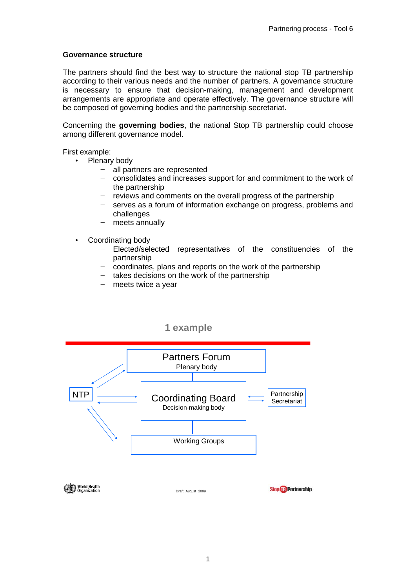## **Governance structure**

The partners should find the best way to structure the national stop TB partnership according to their various needs and the number of partners. A governance structure is necessary to ensure that decision-making, management and development arrangements are appropriate and operate effectively. The governance structure will be composed of governing bodies and the partnership secretariat.

Concerning the **governing bodies**, the national Stop TB partnership could choose among different governance model.

First example:

- Plenary body
	- − all partners are represented
	- consolidates and increases support for and commitment to the work of the partnership
	- − reviews and comments on the overall progress of the partnership
	- − serves as a forum of information exchange on progress, problems and challenges
	- − meets annually
- Coordinating body
	- Elected/selected representatives of the constituencies of the partnership
	- − coordinates, plans and reports on the work of the partnership
	- − takes decisions on the work of the partnership
	- − meets twice a year



**1 example**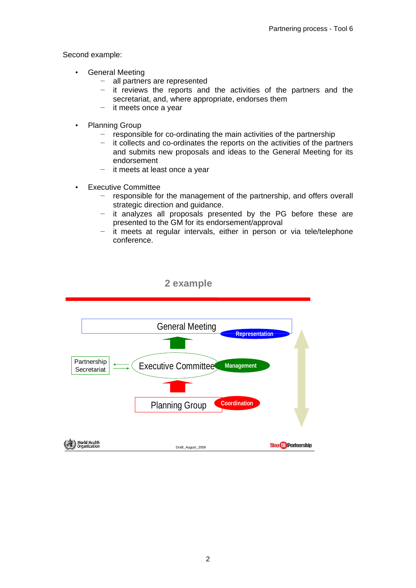Second example:

- General Meeting
	- − all partners are represented
	- − it reviews the reports and the activities of the partners and the secretariat, and, where appropriate, endorses them
	- − it meets once a year
- **Planning Group** 
	- − responsible for co-ordinating the main activities of the partnership
	- − it collects and co-ordinates the reports on the activities of the partners and submits new proposals and ideas to the General Meeting for its endorsement
	- − it meets at least once a year
- Executive Committee
	- − responsible for the management of the partnership, and offers overall strategic direction and guidance.
	- − it analyzes all proposals presented by the PG before these are presented to the GM for its endorsement/approval
	- − it meets at regular intervals, either in person or via tele/telephone conference.